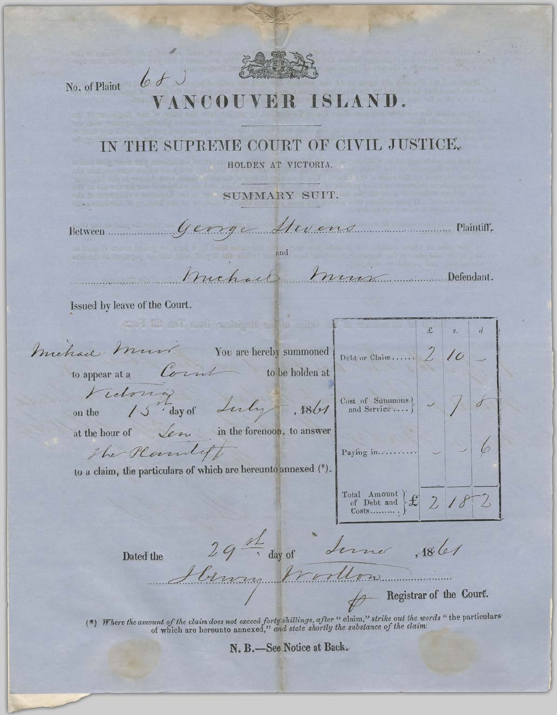

No. of Plaint 6 f

## SLAND

## IN THE SUPREME COURT OF CIVIL JUSTICE,

HOLDEN AT VICTORIA.

SUMMARY SUIT.

George Mevens Maintitt, Between....................

and

Muchael Mun Defendant.

Issued by leave of the Court.

michael must You are hereby summoned to appear at a Count

 $\sim$  to be holden at

and it af a limit and indicated it and

Fidorig<br>the 15 day of Luly , 1861

on the

at the hour of  $\sqrt{2\pi}$  in the forenoon, to answer

Paying in..........

 $\begin{array}{c}\n\text{Total Amount} \\
\text{of Debt and} \\
\text{Costs.} \\
\end{array}\n\bigg\} \mathcal{L} \quad \text{2}$ 

Debt or Claim......

 $\begin{matrix} \text{Cost of} & \text{Sammons} \\ \text{and Service} & \cdots \end{matrix}$ 

to a claim, the particulars of which are hereunto annexed (\*).

Dated the

The Plantiff

29th day of Line , 186

binny Worldow

Registrar of the Court.

£

2

6

2

(\*) Where the amount of the claim does not exceed forty shillings, after " claim," strike out the words " the particulars of which are hereunto annexed," and state shortly the substance of the claim.

N. B.-See Notice at Back.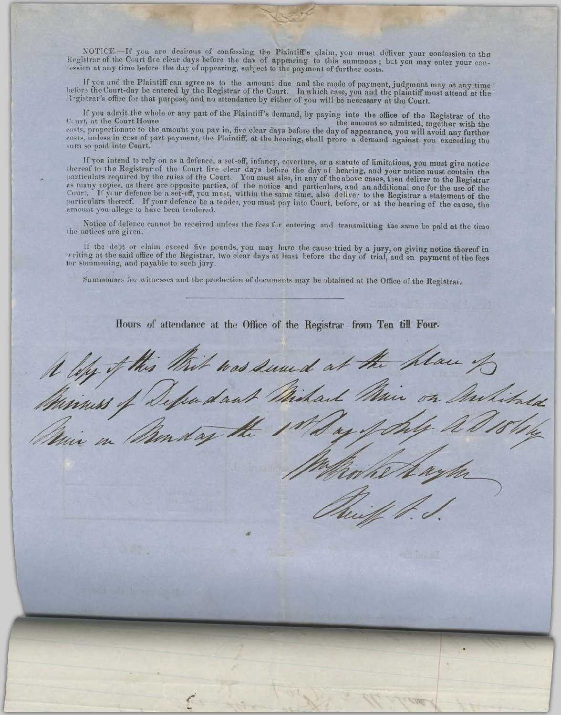NOTICE.--If you are desirous of confessing the Plaintiff's claim, you must deliver your confession to the Registrar of the Court five clear days before the day of appearing to this summons; but you may enter your confessio

If you and the Plaintiff can agree as to the amount due and the mode of payment, judgment may at any time before the Court-day be entered by the Registrar of the Court. In which case, you and the plaintiff must attend at the Registrar's office for that purpose, and no attendance by either of you will be necessary at the Court.

If you admit the whole or any part of the Plaintiff's demand, by paying into the office of the Registrar of the t. at the Court House the amount so admitted, together with the Court, at the Court House costs, proportionate to the amount you pay in, five clear days before the day of appearance, you will avoid any further costs, unless in case of part payment, the Plaintiff, at the hearing, shall prove a demand against you sum so paid into Court.

If you intend to rely on as a defence, a set-off, infancy, coverture, or a statute of limitations, you must give notice thereof to the Registrar of the Court five clear days before the day of hearing, and your notice must increase to the Registrat of the Court live clear days before the day of hearing, and your house must contain the particulars required by the rules of the Court. You must also, in any of the above cases, then deliver to th particulars thereof. If your defence be a tender, you must pay into Court, before, or at the hearing of the cause, the amount you allege to have been tendered.

Notice of defence cannot be received unless the fees for entering and transmitting the same be paid at the time the notices are given.

If the debt or claim exceed five pounds, you may have the cause tried by a jury, on giving notice thereof in writing at the said office of the Registrar, two clear days at least before the day of trial, and on payment of t tor summoning, and payable to such jury.

Summonses for witnesses and the production of documents may be obtained at the Office of the Registrar.

Hours of attendance at the Office of the Registrar from Ten till Four.

Whit was sund at the plan. dan A